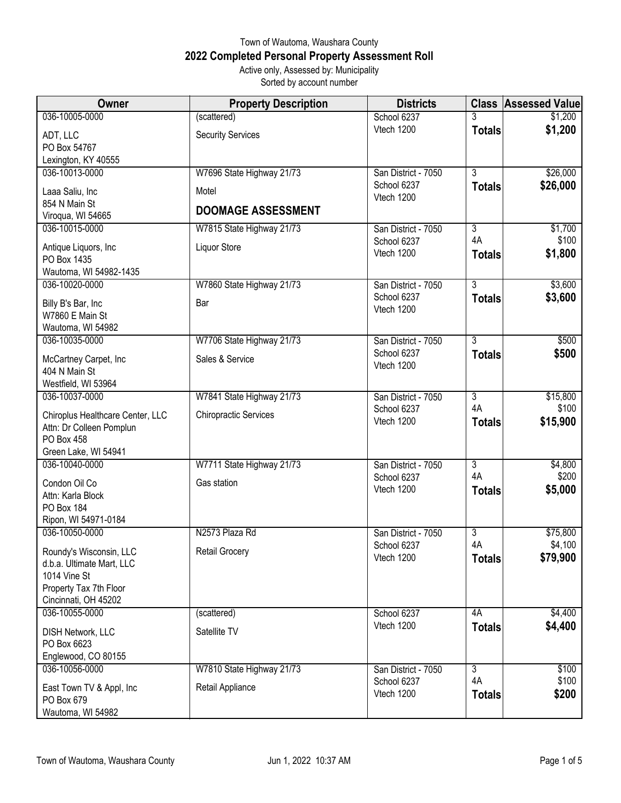## Town of Wautoma, Waushara County **2022 Completed Personal Property Assessment Roll** Active only, Assessed by: Municipality Sorted by account number

| Owner                                          | <b>Property Description</b>  | <b>Districts</b>                   |                           | <b>Class Assessed Value</b> |
|------------------------------------------------|------------------------------|------------------------------------|---------------------------|-----------------------------|
| 036-10005-0000                                 | (scattered)                  | School 6237                        | 3                         | \$1,200                     |
| ADT, LLC                                       | <b>Security Services</b>     | Vtech 1200                         | <b>Totals</b>             | \$1,200                     |
| PO Box 54767                                   |                              |                                    |                           |                             |
| Lexington, KY 40555                            |                              |                                    |                           |                             |
| 036-10013-0000                                 | W7696 State Highway 21/73    | San District - 7050<br>School 6237 | $\overline{3}$            | \$26,000                    |
| Laaa Saliu, Inc                                | Motel                        | Vtech 1200                         | <b>Totals</b>             | \$26,000                    |
| 854 N Main St                                  | <b>DOOMAGE ASSESSMENT</b>    |                                    |                           |                             |
| Viroqua, WI 54665<br>036-10015-0000            |                              |                                    | $\overline{3}$            |                             |
|                                                | W7815 State Highway 21/73    | San District - 7050<br>School 6237 | 4A                        | \$1,700<br>\$100            |
| Antique Liquors, Inc.                          | Liquor Store                 | Vtech 1200                         | <b>Totals</b>             | \$1,800                     |
| PO Box 1435                                    |                              |                                    |                           |                             |
| Wautoma, WI 54982-1435<br>036-10020-0000       | W7860 State Highway 21/73    | San District - 7050                | $\overline{3}$            | \$3,600                     |
|                                                |                              | School 6237                        | <b>Totals</b>             | \$3,600                     |
| Billy B's Bar, Inc                             | Bar                          | Vtech 1200                         |                           |                             |
| W7860 E Main St<br>Wautoma, WI 54982           |                              |                                    |                           |                             |
| 036-10035-0000                                 | W7706 State Highway 21/73    | San District - 7050                | $\overline{3}$            | \$500                       |
|                                                |                              | School 6237                        | <b>Totals</b>             | \$500                       |
| McCartney Carpet, Inc                          | Sales & Service              | Vtech 1200                         |                           |                             |
| 404 N Main St<br>Westfield, WI 53964           |                              |                                    |                           |                             |
| 036-10037-0000                                 | W7841 State Highway 21/73    | San District - 7050                | $\overline{\overline{3}}$ | \$15,800                    |
|                                                |                              | School 6237                        | 4A                        | \$100                       |
| Chiroplus Healthcare Center, LLC               | <b>Chiropractic Services</b> | Vtech 1200                         | <b>Totals</b>             | \$15,900                    |
| Attn: Dr Colleen Pomplun<br>PO Box 458         |                              |                                    |                           |                             |
| Green Lake, WI 54941                           |                              |                                    |                           |                             |
| 036-10040-0000                                 | W7711 State Highway 21/73    | San District - 7050                | $\overline{3}$            | \$4,800                     |
| Condon Oil Co                                  | Gas station                  | School 6237                        | 4A                        | \$200                       |
| Attn: Karla Block                              |                              | Vtech 1200                         | <b>Totals</b>             | \$5,000                     |
| PO Box 184                                     |                              |                                    |                           |                             |
| Ripon, WI 54971-0184                           |                              |                                    |                           |                             |
| 036-10050-0000                                 | N2573 Plaza Rd               | San District - 7050                | $\overline{3}$            | \$75,800                    |
| Roundy's Wisconsin, LLC                        | Retail Grocery               | School 6237<br>Vtech 1200          | 4A                        | \$4,100                     |
| d.b.a. Ultimate Mart, LLC                      |                              |                                    | <b>Totals</b>             | \$79,900                    |
| 1014 Vine St                                   |                              |                                    |                           |                             |
| Property Tax 7th Floor<br>Cincinnati, OH 45202 |                              |                                    |                           |                             |
| 036-10055-0000                                 | (scattered)                  | School 6237                        | 4A                        | \$4,400                     |
|                                                |                              | Vtech 1200                         | <b>Totals</b>             | \$4,400                     |
| DISH Network, LLC                              | Satellite TV                 |                                    |                           |                             |
| PO Box 6623<br>Englewood, CO 80155             |                              |                                    |                           |                             |
| 036-10056-0000                                 | W7810 State Highway 21/73    | San District - 7050                | $\overline{3}$            | \$100                       |
|                                                |                              | School 6237                        | 4A                        | \$100                       |
| East Town TV & Appl, Inc<br>PO Box 679         | Retail Appliance             | Vtech 1200                         | <b>Totals</b>             | \$200                       |
| Wautoma, WI 54982                              |                              |                                    |                           |                             |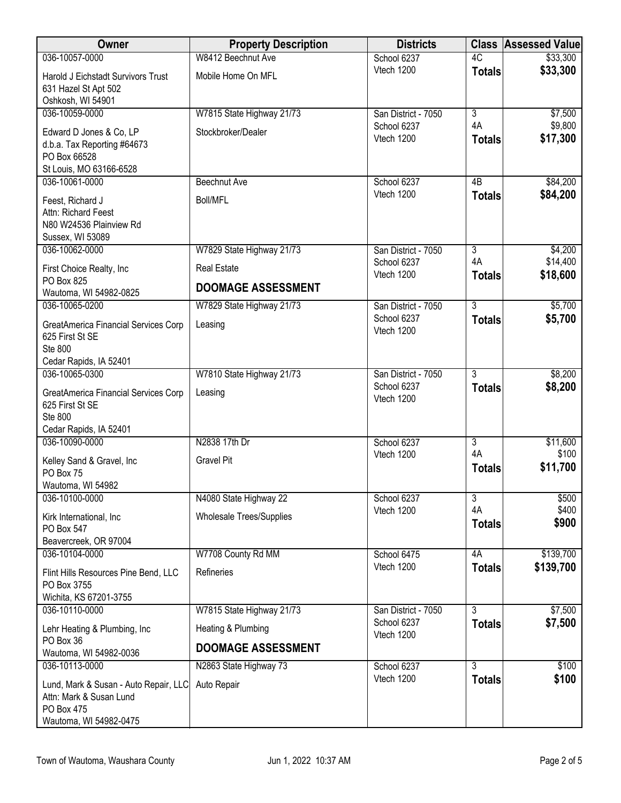| Owner                                               | <b>Property Description</b>     | <b>Districts</b>                   | <b>Class</b>        | <b>Assessed Value</b> |
|-----------------------------------------------------|---------------------------------|------------------------------------|---------------------|-----------------------|
| 036-10057-0000                                      | W8412 Beechnut Ave              | School 6237                        | 4C                  | \$33,300              |
| Harold J Eichstadt Survivors Trust                  | Mobile Home On MFL              | Vtech 1200                         | <b>Totals</b>       | \$33,300              |
| 631 Hazel St Apt 502                                |                                 |                                    |                     |                       |
| Oshkosh, WI 54901<br>036-10059-0000                 | W7815 State Highway 21/73       | San District - 7050                | $\overline{3}$      | \$7,500               |
|                                                     |                                 | School 6237                        | 4A                  | \$9,800               |
| Edward D Jones & Co, LP                             | Stockbroker/Dealer              | Vtech 1200                         | <b>Totals</b>       | \$17,300              |
| d.b.a. Tax Reporting #64673<br>PO Box 66528         |                                 |                                    |                     |                       |
| St Louis, MO 63166-6528                             |                                 |                                    |                     |                       |
| 036-10061-0000                                      | <b>Beechnut Ave</b>             | School 6237                        | 4B                  | \$84,200              |
| Feest, Richard J                                    | <b>Boll/MFL</b>                 | Vtech 1200                         | <b>Totals</b>       | \$84,200              |
| Attn: Richard Feest                                 |                                 |                                    |                     |                       |
| N80 W24536 Plainview Rd                             |                                 |                                    |                     |                       |
| Sussex, WI 53089<br>036-10062-0000                  | W7829 State Highway 21/73       | San District - 7050                | $\overline{3}$      | \$4,200               |
|                                                     |                                 | School 6237                        | 4A                  | \$14,400              |
| First Choice Realty, Inc<br>PO Box 825              | <b>Real Estate</b>              | Vtech 1200                         | <b>Totals</b>       | \$18,600              |
| Wautoma, WI 54982-0825                              | <b>DOOMAGE ASSESSMENT</b>       |                                    |                     |                       |
| 036-10065-0200                                      | W7829 State Highway 21/73       | San District - 7050                | $\overline{3}$      | \$5,700               |
| GreatAmerica Financial Services Corp                | Leasing                         | School 6237                        | <b>Totals</b>       | \$5,700               |
| 625 First St SE                                     |                                 | Vtech 1200                         |                     |                       |
| <b>Ste 800</b>                                      |                                 |                                    |                     |                       |
| Cedar Rapids, IA 52401                              |                                 |                                    |                     |                       |
| 036-10065-0300                                      | W7810 State Highway 21/73       | San District - 7050<br>School 6237 | $\overline{3}$      | \$8,200<br>\$8,200    |
| GreatAmerica Financial Services Corp                | Leasing                         | Vtech 1200                         | <b>Totals</b>       |                       |
| 625 First St SE<br>Ste 800                          |                                 |                                    |                     |                       |
| Cedar Rapids, IA 52401                              |                                 |                                    |                     |                       |
| 036-10090-0000                                      | N2838 17th Dr                   | School 6237                        | $\overline{3}$      | \$11,600              |
| Kelley Sand & Gravel, Inc                           | <b>Gravel Pit</b>               | Vtech 1200                         | 4A                  | \$100                 |
| PO Box 75                                           |                                 |                                    | <b>Totals</b>       | \$11,700              |
| Wautoma, WI 54982                                   |                                 |                                    |                     |                       |
| 036-10100-0000                                      | N4080 State Highway 22          | School 6237                        | 3                   | \$500                 |
| Kirk International, Inc                             | <b>Wholesale Trees/Supplies</b> | Vtech 1200                         | 4A<br><b>Totals</b> | \$400<br>\$900        |
| PO Box 547                                          |                                 |                                    |                     |                       |
| Beavercreek, OR 97004<br>036-10104-0000             | W7708 County Rd MM              | School 6475                        | 4A                  | \$139,700             |
|                                                     |                                 | Vtech 1200                         | <b>Totals</b>       | \$139,700             |
| Flint Hills Resources Pine Bend, LLC<br>PO Box 3755 | Refineries                      |                                    |                     |                       |
| Wichita, KS 67201-3755                              |                                 |                                    |                     |                       |
| 036-10110-0000                                      | W7815 State Highway 21/73       | San District - 7050                | $\overline{3}$      | \$7,500               |
| Lehr Heating & Plumbing, Inc                        | Heating & Plumbing              | School 6237                        | <b>Totals</b>       | \$7,500               |
| PO Box 36                                           |                                 | Vtech 1200                         |                     |                       |
| Wautoma, WI 54982-0036                              | <b>DOOMAGE ASSESSMENT</b>       |                                    |                     |                       |
| 036-10113-0000                                      | N2863 State Highway 73          | School 6237                        | $\overline{3}$      | \$100                 |
| Lund, Mark & Susan - Auto Repair, LLC               | Auto Repair                     | Vtech 1200                         | <b>Totals</b>       | \$100                 |
| Attn: Mark & Susan Lund                             |                                 |                                    |                     |                       |
| PO Box 475<br>Wautoma, WI 54982-0475                |                                 |                                    |                     |                       |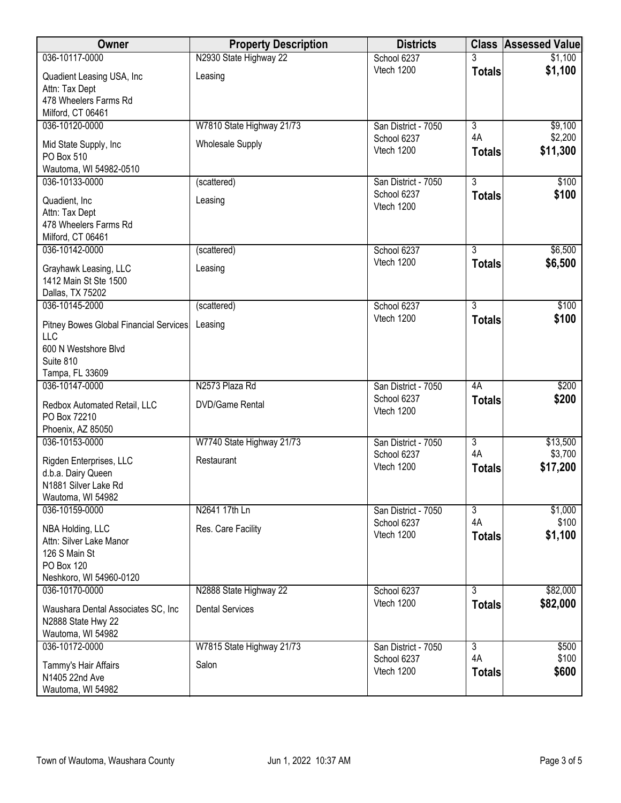| Owner                                         | <b>Property Description</b> | <b>Districts</b>                   | <b>Class</b>         | <b>Assessed Value</b> |
|-----------------------------------------------|-----------------------------|------------------------------------|----------------------|-----------------------|
| 036-10117-0000                                | N2930 State Highway 22      | School 6237                        | 3                    | \$1,100               |
| Quadient Leasing USA, Inc                     | Leasing                     | Vtech 1200                         | <b>Totals</b>        | \$1,100               |
| Attn: Tax Dept                                |                             |                                    |                      |                       |
| 478 Wheelers Farms Rd                         |                             |                                    |                      |                       |
| Milford, CT 06461                             |                             |                                    |                      |                       |
| 036-10120-0000                                | W7810 State Highway 21/73   | San District - 7050<br>School 6237 | $\overline{3}$<br>4A | \$9,100<br>\$2,200    |
| Mid State Supply, Inc                         | <b>Wholesale Supply</b>     | Vtech 1200                         | <b>Totals</b>        | \$11,300              |
| PO Box 510                                    |                             |                                    |                      |                       |
| Wautoma, WI 54982-0510                        |                             |                                    |                      |                       |
| 036-10133-0000                                | (scattered)                 | San District - 7050                | $\overline{3}$       | \$100                 |
| Quadient, Inc                                 | Leasing                     | School 6237<br>Vtech 1200          | <b>Totals</b>        | \$100                 |
| Attn: Tax Dept                                |                             |                                    |                      |                       |
| 478 Wheelers Farms Rd                         |                             |                                    |                      |                       |
| Milford, CT 06461                             |                             |                                    |                      |                       |
| 036-10142-0000                                | (scattered)                 | School 6237<br>Vtech 1200          | 3                    | \$6,500               |
| Grayhawk Leasing, LLC                         | Leasing                     |                                    | <b>Totals</b>        | \$6,500               |
| 1412 Main St Ste 1500                         |                             |                                    |                      |                       |
| Dallas, TX 75202                              |                             |                                    |                      |                       |
| 036-10145-2000                                | (scattered)                 | School 6237                        | $\overline{3}$       | \$100                 |
| Pitney Bowes Global Financial Services<br>LLC | Leasing                     | Vtech 1200                         | <b>Totals</b>        | \$100                 |
| 600 N Westshore Blvd                          |                             |                                    |                      |                       |
| Suite 810                                     |                             |                                    |                      |                       |
| Tampa, FL 33609                               |                             |                                    |                      |                       |
| 036-10147-0000                                | N2573 Plaza Rd              | San District - 7050                | 4A                   | \$200                 |
| Redbox Automated Retail, LLC                  | <b>DVD/Game Rental</b>      | School 6237<br>Vtech 1200          | <b>Totals</b>        | \$200                 |
| PO Box 72210                                  |                             |                                    |                      |                       |
| Phoenix, AZ 85050                             |                             |                                    |                      |                       |
| 036-10153-0000                                | W7740 State Highway 21/73   | San District - 7050                | $\overline{3}$       | \$13,500              |
| Rigden Enterprises, LLC                       | Restaurant                  | School 6237<br>Vtech 1200          | 4A                   | \$3,700               |
| d.b.a. Dairy Queen                            |                             |                                    | <b>Totals</b>        | \$17,200              |
| N1881 Silver Lake Rd                          |                             |                                    |                      |                       |
| Wautoma, WI 54982                             |                             |                                    |                      |                       |
| 036-10159-0000                                | N2641 17th Ln               | San District - 7050<br>School 6237 | $\overline{3}$<br>4A | \$1,000<br>\$100      |
| NBA Holding, LLC                              | Res. Care Facility          | Vtech 1200                         | <b>Totals</b>        | \$1,100               |
| Attn: Silver Lake Manor                       |                             |                                    |                      |                       |
| 126 S Main St                                 |                             |                                    |                      |                       |
| PO Box 120                                    |                             |                                    |                      |                       |
| Neshkoro, WI 54960-0120<br>036-10170-0000     | N2888 State Highway 22      | School 6237                        | $\overline{3}$       | \$82,000              |
|                                               |                             | Vtech 1200                         | <b>Totals</b>        | \$82,000              |
| Waushara Dental Associates SC, Inc.           | <b>Dental Services</b>      |                                    |                      |                       |
| N2888 State Hwy 22                            |                             |                                    |                      |                       |
| Wautoma, WI 54982<br>036-10172-0000           | W7815 State Highway 21/73   |                                    | $\overline{3}$       | \$500                 |
|                                               |                             | San District - 7050<br>School 6237 | 4A                   | \$100                 |
| Tammy's Hair Affairs                          | Salon                       | Vtech 1200                         | <b>Totals</b>        | \$600                 |
| N1405 22nd Ave                                |                             |                                    |                      |                       |
| Wautoma, WI 54982                             |                             |                                    |                      |                       |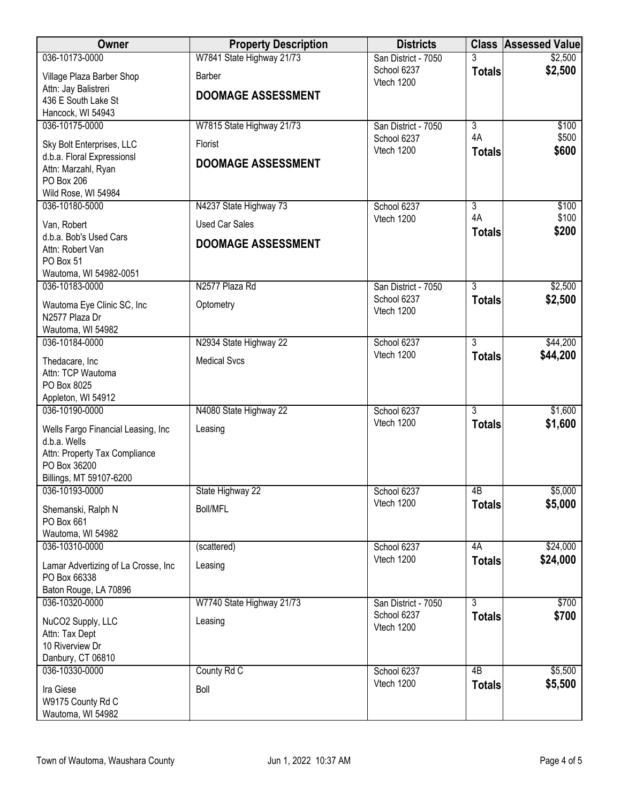| Owner                                                   | <b>Property Description</b> | <b>Districts</b>          |                 | <b>Class Assessed Value</b> |
|---------------------------------------------------------|-----------------------------|---------------------------|-----------------|-----------------------------|
| 036-10173-0000                                          | W7841 State Highway 21/73   | San District - 7050       |                 | \$2,500                     |
| Village Plaza Barber Shop                               | <b>Barber</b>               | School 6237<br>Vtech 1200 | <b>Totals</b>   | \$2,500                     |
| Attn: Jay Balistreri                                    | <b>DOOMAGE ASSESSMENT</b>   |                           |                 |                             |
| 436 E South Lake St                                     |                             |                           |                 |                             |
| Hancock, WI 54943<br>036-10175-0000                     | W7815 State Highway 21/73   | San District - 7050       | $\overline{3}$  | \$100                       |
|                                                         |                             | School 6237               | 4A              | \$500                       |
| Sky Bolt Enterprises, LLC<br>d.b.a. Floral Expressionsl | Florist                     | Vtech 1200                | <b>Totals</b>   | \$600                       |
| Attn: Marzahl, Ryan                                     | <b>DOOMAGE ASSESSMENT</b>   |                           |                 |                             |
| PO Box 206                                              |                             |                           |                 |                             |
| Wild Rose, WI 54984                                     |                             |                           |                 |                             |
| 036-10180-5000                                          | N4237 State Highway 73      | School 6237               | $\overline{3}$  | \$100                       |
| Van, Robert                                             | <b>Used Car Sales</b>       | Vtech 1200                | 4A              | \$100                       |
| d.b.a. Bob's Used Cars                                  |                             |                           | <b>Totals</b>   | \$200                       |
| Attn: Robert Van                                        | <b>DOOMAGE ASSESSMENT</b>   |                           |                 |                             |
| PO Box 51                                               |                             |                           |                 |                             |
| Wautoma, WI 54982-0051<br>036-10183-0000                | N2577 Plaza Rd              | San District - 7050       | $\overline{3}$  | \$2,500                     |
|                                                         |                             | School 6237               | <b>Totals</b>   | \$2,500                     |
| Wautoma Eye Clinic SC, Inc                              | Optometry                   | Vtech 1200                |                 |                             |
| N2577 Plaza Dr<br>Wautoma, WI 54982                     |                             |                           |                 |                             |
| 036-10184-0000                                          | N2934 State Highway 22      | School 6237               | $\overline{3}$  | \$44,200                    |
|                                                         |                             | Vtech 1200                | <b>Totals</b>   | \$44,200                    |
| Thedacare, Inc<br>Attn: TCP Wautoma                     | <b>Medical Svcs</b>         |                           |                 |                             |
| PO Box 8025                                             |                             |                           |                 |                             |
| Appleton, WI 54912                                      |                             |                           |                 |                             |
| 036-10190-0000                                          | N4080 State Highway 22      | School 6237               | $\overline{3}$  | \$1,600                     |
| Wells Fargo Financial Leasing, Inc                      | Leasing                     | Vtech 1200                | <b>Totals</b>   | \$1,600                     |
| d.b.a. Wells                                            |                             |                           |                 |                             |
| Attn: Property Tax Compliance                           |                             |                           |                 |                             |
| PO Box 36200                                            |                             |                           |                 |                             |
| Billings, MT 59107-6200<br>036-10193-0000               | State Highway 22            | School 6237               | $\overline{AB}$ | \$5,000                     |
|                                                         |                             | Vtech 1200                | <b>Totals</b>   | \$5,000                     |
| Shemanski, Ralph N<br>PO Box 661                        | <b>Boll/MFL</b>             |                           |                 |                             |
| Wautoma, WI 54982                                       |                             |                           |                 |                             |
| 036-10310-0000                                          | (scattered)                 | School 6237               | 4A              | \$24,000                    |
| Lamar Advertizing of La Crosse, Inc                     | Leasing                     | Vtech 1200                | <b>Totals</b>   | \$24,000                    |
| PO Box 66338                                            |                             |                           |                 |                             |
| Baton Rouge, LA 70896                                   |                             |                           |                 |                             |
| 036-10320-0000                                          | W7740 State Highway 21/73   | San District - 7050       | $\overline{3}$  | \$700                       |
| NuCO2 Supply, LLC                                       | Leasing                     | School 6237               | <b>Totals</b>   | \$700                       |
| Attn: Tax Dept                                          |                             | Vtech 1200                |                 |                             |
| 10 Riverview Dr                                         |                             |                           |                 |                             |
| Danbury, CT 06810                                       |                             |                           |                 |                             |
| 036-10330-0000                                          | County Rd C                 | School 6237               | 4B              | \$5,500                     |
| Ira Giese                                               | Boll                        | Vtech 1200                | <b>Totals</b>   | \$5,500                     |
| W9175 County Rd C                                       |                             |                           |                 |                             |
| Wautoma, WI 54982                                       |                             |                           |                 |                             |